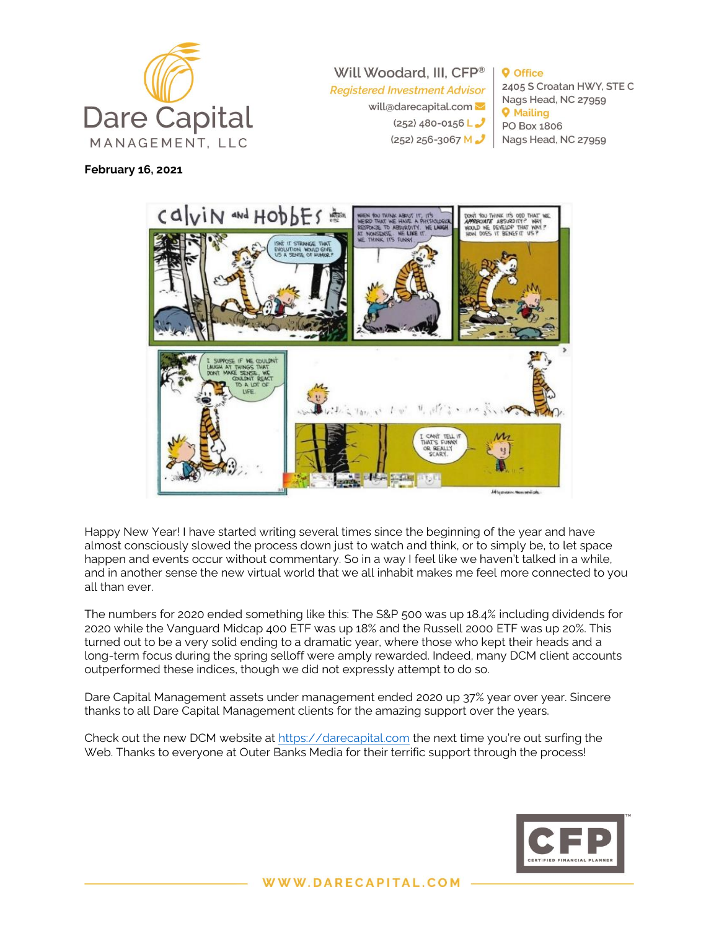

**February 16, 2021**

Will Woodard, III, CFP® **Registered Investment Advisor** 

> will@darecapital.com  $(252)$  480-0156 L  $(252)$  256-3067 M $\frac{3}{2}$

**O** Office 2405 S Croatan HWY, STE C Nags Head, NC 27959 **Q** Mailing PO Box 1806 Nags Head, NC 27959

# CONIN and HODDES

Happy New Year! I have started writing several times since the beginning of the year and have almost consciously slowed the process down just to watch and think, or to simply be, to let space happen and events occur without commentary. So in a way I feel like we haven't talked in a while, and in another sense the new virtual world that we all inhabit makes me feel more connected to you all than ever.

The numbers for 2020 ended something like this: The S&P 500 was up 18.4% including dividends for 2020 while the Vanguard Midcap 400 ETF was up 18% and the Russell 2000 ETF was up 20%. This turned out to be a very solid ending to a dramatic year, where those who kept their heads and a long-term focus during the spring selloff were amply rewarded. Indeed, many DCM client accounts outperformed these indices, though we did not expressly attempt to do so.

Dare Capital Management assets under management ended 2020 up 37% year over year. Sincere thanks to all Dare Capital Management clients for the amazing support over the years.

Check out the new DCM website at [https://darecapital.com](https://darecapital.com/) the next time you're out surfing the Web. Thanks to everyone at Outer Banks Media for their terrific support through the process!

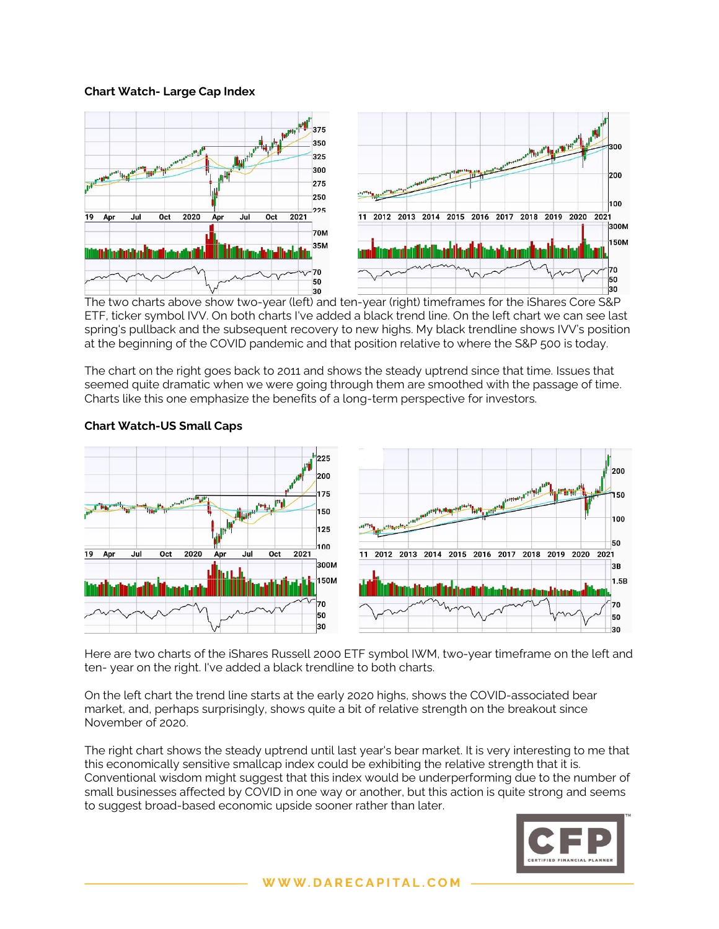# **Chart Watch- Large Cap Index**



The two charts above show two-year (left) and ten-year (right) timeframes for the iShares Core S&P ETF, ticker symbol IVV. On both charts I've added a black trend line. On the left chart we can see last spring's pullback and the subsequent recovery to new highs. My black trendline shows IVV's position at the beginning of the COVID pandemic and that position relative to where the S&P 500 is today.

The chart on the right goes back to 2011 and shows the steady uptrend since that time. Issues that seemed quite dramatic when we were going through them are smoothed with the passage of time. Charts like this one emphasize the benefits of a long-term perspective for investors.



# **Chart Watch-US Small Caps**

Here are two charts of the iShares Russell 2000 ETF symbol IWM, two-year timeframe on the left and ten- year on the right. I've added a black trendline to both charts.

On the left chart the trend line starts at the early 2020 highs, shows the COVID-associated bear market, and, perhaps surprisingly, shows quite a bit of relative strength on the breakout since November of 2020.

The right chart shows the steady uptrend until last year's bear market. It is very interesting to me that this economically sensitive smallcap index could be exhibiting the relative strength that it is. Conventional wisdom might suggest that this index would be underperforming due to the number of small businesses affected by COVID in one way or another, but this action is quite strong and seems to suggest broad-based economic upside sooner rather than later.

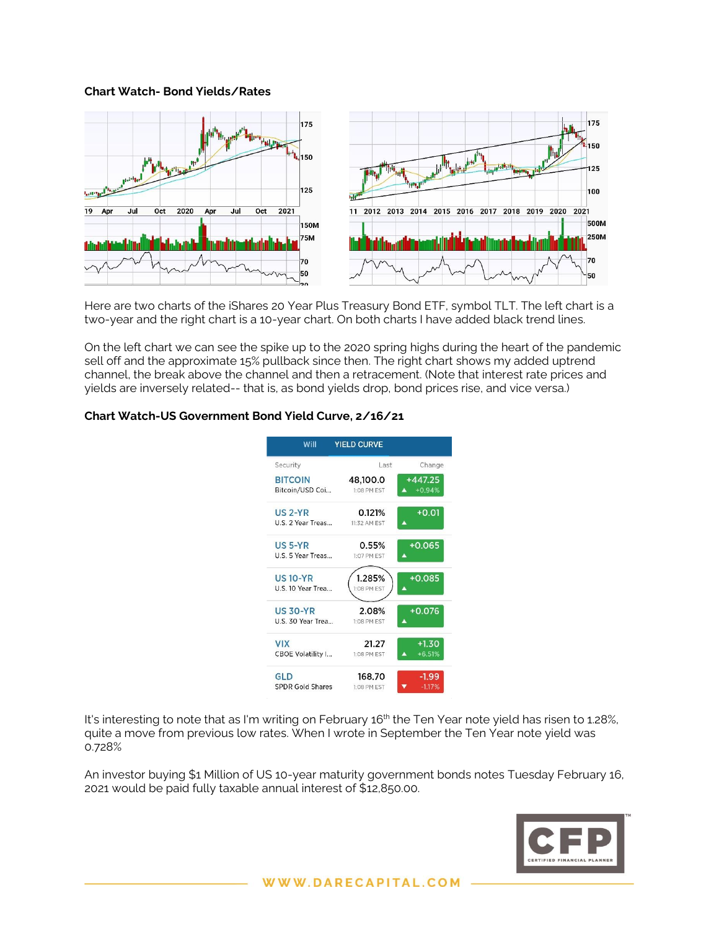### **Chart Watch- Bond Yields/Rates**



Here are two charts of the iShares 20 Year Plus Treasury Bond ETF, symbol TLT. The left chart is a two-year and the right chart is a 10-year chart. On both charts I have added black trend lines.

On the left chart we can see the spike up to the 2020 spring highs during the heart of the pandemic sell off and the approximate 15% pullback since then. The right chart shows my added uptrend channel, the break above the channel and then a retracement. (Note that interest rate prices and yields are inversely related-- that is, as bond yields drop, bond prices rise, and vice versa.)

# **Chart Watch-US Government Bond Yield Curve, 2/16/21**



It's interesting to note that as I'm writing on February 16<sup>th</sup> the Ten Year note yield has risen to 1.28%, quite a move from previous low rates. When I wrote in September the Ten Year note yield was 0.728%

An investor buying \$1 Million of US 10-year maturity government bonds notes Tuesday February 16, 2021 would be paid fully taxable annual interest of \$12,850.00.